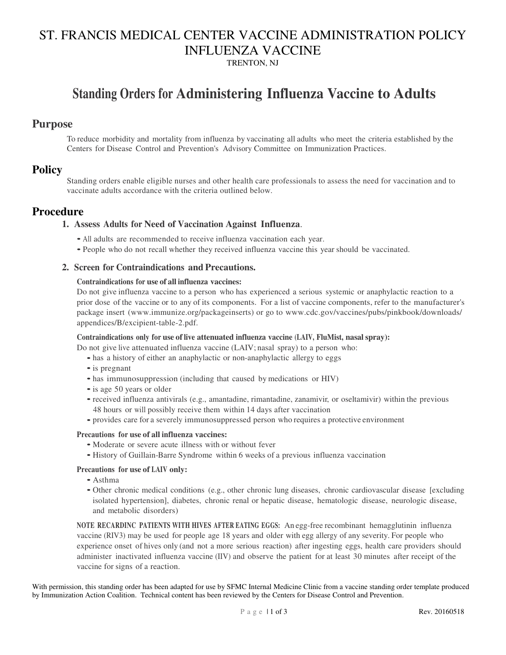## ST. FRANCIS MEDICAL CENTER VACCINE ADMINISTRATION POLICY INFLUENZA VACCINE

TRENTON, NJ

## **Standing Orders for Administering Influenza Vaccine to Adults**

### **Purpose**

To reduce morbidity and mortality from influenza by vaccinating all adults who meet the criteria established by the Centers for Disease Control and Prevention's Advisory Committee on Immunization Practices.

### **Policy**

Standing orders enable eligible nurses and other health care professionals to assess the need for vaccination and to vaccinate adults accordance with the criteria outlined below.

## **Procedure**

### **1. Assess Adults for Need of Vaccination Against Influenza**.

- All adults are recommended to receive influenza vaccination each year.
- People who do not recall whether they received influenza vaccine this year should be vaccinated.

### **2. Screen for Contraindications and Precautions.**

#### **Contraindications for use of all influenza vaccines:**

Do not give influenza vaccine to a person who has experienced a serious systemic or anaphylactic reaction to a prior dose of the vaccine or to any of its components. For a list of vaccine components, refer to the manufacturer's package insert (www.immunize.org/packageinserts) or go to www.cdc.gov/vaccines/pubs/pinkbook/downloads/ appendices/B/excipient-table-2.pdf.

#### **Contraindications only for use of live attenuated influenza vaccine (LAIV, FluMist, nasal spray):**

Do not give live attenuated influenza vaccine (LAIV; nasal spray) to a person who:

- has a history of either an anaphylactic or non-anaphylactic allergy to eggs
- is pregnant
- has immunosuppression (including that caused by medications or HIV)
- is age 50 years or older
- received influenza antivirals (e.g., amantadine, rimantadine, zanamivir, or oseltamivir) within the previous 48 hours or will possibly receive them within 14 days after vaccination
- provides care for a severely immunosuppressed person who requires a protective environment

#### **Precautions for use of all influenza vaccines:**

- Moderate or severe acute illness with or without fever
- History of Guillain-Barre Syndrome within 6 weeks of a previous influenza vaccination

### **Precautions for use of LAIV only:**

- Asthma
- Other chronic medical conditions (e.g., other chronic lung diseases, chronic cardiovascular disease [excluding isolated hypertension], diabetes, chronic renal or hepatic disease, hematologic disease, neurologic disease, and metabolic disorders)

**NOTE RECARDINC PATIENTS WITH HIVES AFTER EATING EGGS:** An egg-free recombinant hemagglutinin influenza vaccine (RIV3) may be used for people age 18 years and older with egg allergy of any severity. For people who experience onset of hives only (and not a more serious reaction) after ingesting eggs, health care providers should administer inactivated influenza vaccine (IIV) and observe the patient for at least 30 minutes after receipt of the vaccine for signs of a reaction.

With permission, this standing order has been adapted for use by SFMC Internal Medicine Clinic from a vaccine standing order template produced by Immunization Action Coalition. Technical content has been reviewed by the Centers for Disease Control and Prevention.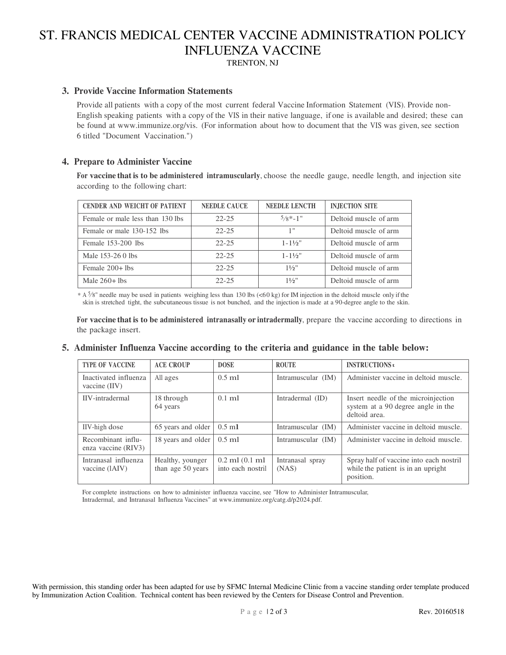## ST. FRANCIS MEDICAL CENTER VACCINE ADMINISTRATION POLICY INFLUENZA VACCINE

TRENTON, NJ

### **3. Provide Vaccine Information Statements**

Provide all patients with a copy of the most current federal Vaccine Information Statement (VIS). Provide non-English speaking patients with a copy of the VIS in their native language, if one is available and desired; these can be found at www.immunize.org/vis. (For information about how to document that the VIS was given, see section 6 titled "Document Vaccination.")

### **4. Prepare to Administer Vaccine**

**For vaccine that is to be administered intramuscularly**, choose the needle gauge, needle length, and injection site according to the following chart:

| <b>CENDER AND WEICHT OF PATIENT</b> | NEEDLE CAUCE | <b>NEEDLE LENCTH</b> | <b>INJECTION SITE</b> |
|-------------------------------------|--------------|----------------------|-----------------------|
| Female or male less than 130 lbs    | $22 - 25$    | $5/8* - 1$ "         | Deltoid muscle of arm |
| Female or male 130-152 lbs          | $22 - 25$    | 1"                   | Deltoid muscle of arm |
| Female $153-200$ lbs                | $22 - 25$    | $1 - 1\frac{1}{2}$   | Deltoid muscle of arm |
| Male 153-26 0 lbs                   | $22 - 25$    | $1 - 1\frac{1}{2}$   | Deltoid muscle of arm |
| Female $200+1$ lbs                  | $22 - 25$    | $1\frac{1}{2}$       | Deltoid muscle of arm |
| Male $260+1$ lbs                    | $22 - 25$    | $1\frac{1}{2}$ "     | Deltoid muscle of arm |

 $* A$  5/8" needle may be used in patients weighing less than 130 lbs (<60 kg) for IM injection in the deltoid muscle only if the skin is stretched tight, the subcutaneous tissue is not bunched, and the injection is made at a 90-degree angle to the skin.

**For vaccine that is to be administered intranasally or intradermally**, prepare the vaccine according to directions in the package insert.

### **5. Administer Influenza Vaccine according to the criteria and guidance in the table below:**

| <b>TYPE OF VACCINE</b>                    | <b>ACE CROUP</b>                      | <b>DOSE</b>                             | <b>ROUTE</b>              | <b>INSTRUCTIONS</b> $\mathbf{t}$                                                           |
|-------------------------------------------|---------------------------------------|-----------------------------------------|---------------------------|--------------------------------------------------------------------------------------------|
| Inactivated influenza<br>vaccine $(IIV)$  | All ages                              | $0.5$ ml                                | Intramuscular (IM)        | Administer vaccine in deltoid muscle.                                                      |
| IIV-intradermal                           | 18 through<br>64 years                | $0.1$ ml                                | Intradermal (ID)          | Insert needle of the microinjection<br>system at a 90 degree angle in the<br>deltoid area. |
| IIV-high dose                             | 65 years and older                    | $0.5$ ml                                | Intramuscular (IM)        | Administer vaccine in deltoid muscle.                                                      |
| Recombinant influ-<br>enza vaccine (RIV3) | 18 years and older                    | $0.5$ ml                                | Intramuscular (IM)        | Administer vaccine in deltoid muscle.                                                      |
| Intranasal influenza<br>vaccine (IAIV)    | Healthy, younger<br>than age 50 years | $0.2$ ml $(0.1$ ml<br>into each nostril | Intranasal spray<br>(NAS) | Spray half of vaccine into each nostril<br>while the patient is in an upright<br>position. |

For complete instructions on how to administer influenza vaccine, see "How to Administer Intramuscular, Intradermal, and Intranasal Influenza Vaccines" at www.immunize.org/catg.d/p2024.pdf.

With permission, this standing order has been adapted for use by SFMC Internal Medicine Clinic from a vaccine standing order template produced by Immunization Action Coalition. Technical content has been reviewed by the Centers for Disease Control and Prevention.